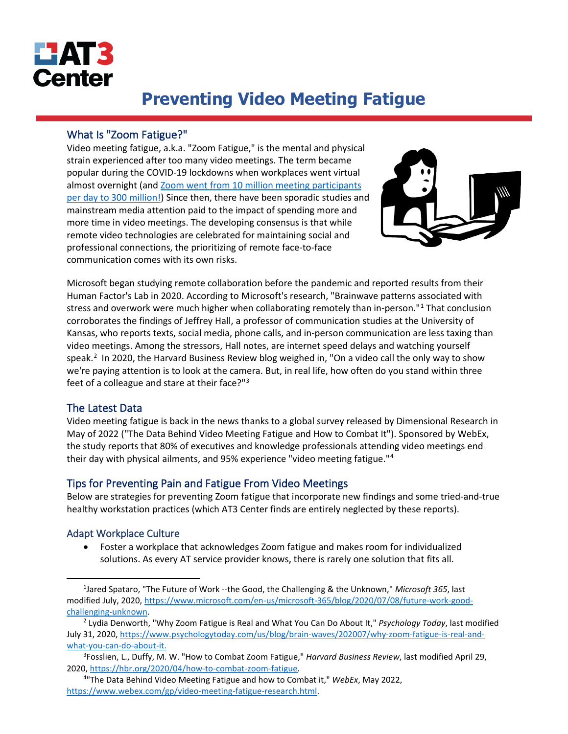

# **Preventing Video Meeting Fatigue**

# What Is "Zoom Fatigue?"

Video meeting fatigue, a.k.a. "Zoom Fatigue," is the mental and physical strain experienced after too many video meetings. The term became popular during the COVID-19 lockdowns when workplaces went virtual almost overnight (and [Zoom went from 10 million](https://www.theverge.com/2020/4/30/21242421/zoom-300-million-users-incorrect-meeting-participants-statement) meeting participants [per day to 300 million!\)](https://www.theverge.com/2020/4/30/21242421/zoom-300-million-users-incorrect-meeting-participants-statement) Since then, there have been sporadic studies and mainstream media attention paid to the impact of spending more and more time in video meetings. The developing consensus is that while remote video technologies are celebrated for maintaining social and professional connections, the prioritizing of remote face-to-face communication comes with its own risks.



Microsoft began studying remote collaboration before the pandemic and reported results from their Human Factor's Lab in 2020. According to Microsoft's research, "Brainwave patterns associated with stress and overwork were much higher when collaborating remotely than in-person."<sup>[1](#page-0-0)</sup> That conclusion corroborates the findings of Jeffrey Hall, a professor of communication studies at the University of Kansas, who reports texts, social media, phone calls, and in-person communication are less taxing than video meetings. Among the stressors, Hall notes, are internet speed delays and watching yourself speak. [2](#page-0-1) In 2020, the Harvard Business Review blog weighed in, "On a video call the only way to show we're paying attention is to look at the camera. But, in real life, how often do you stand within three feet of a colleague and stare at their face?"[3](#page-0-2)

# The Latest Data

Video meeting fatigue is back in the news thanks to a global survey released by Dimensional Research in May of 2022 ("The Data Behind Video Meeting Fatigue and How to Combat It"). Sponsored by WebEx, the study reports that 80% of executives and knowledge professionals attending video meetings end their day with physical ailments, and 95% experience "video meeting fatigue."[4](#page-0-3)

# Tips for Preventing Pain and Fatigue From Video Meetings

Below are strategies for preventing Zoom fatigue that incorporate new findings and some tried-and-true healthy workstation practices (which AT3 Center finds are entirely neglected by these reports).

# Adapt Workplace Culture

• Foster a workplace that acknowledges Zoom fatigue and makes room for individualized solutions. As every AT service provider knows, there is rarely one solution that fits all.

<span id="page-0-0"></span><sup>1</sup> Jared Spataro, "The Future of Work --the Good, the Challenging & the Unknown," *Microsoft 365*, last modified July, 2020[, https://www.microsoft.com/en-us/microsoft-365/blog/2020/07/08/future-work-good](https://www.microsoft.com/en-us/microsoft-365/blog/2020/07/08/future-work-good-challenging-unknown)[challenging-unknown.](https://www.microsoft.com/en-us/microsoft-365/blog/2020/07/08/future-work-good-challenging-unknown)

<span id="page-0-1"></span><sup>2</sup> Lydia Denworth, "Why Zoom Fatigue is Real and What You Can Do About It," *Psychology Today*, last modified July 31, 2020[, https://www.psychologytoday.com/us/blog/brain-waves/202007/why-zoom-fatigue-is-real-and](https://www.psychologytoday.com/us/blog/brain-waves/202007/why-zoom-fatigue-is-real-and-what-you-can-do-about-it)[what-you-can-do-about-it.](https://www.psychologytoday.com/us/blog/brain-waves/202007/why-zoom-fatigue-is-real-and-what-you-can-do-about-it)

<span id="page-0-2"></span><sup>3</sup> Fosslien, L., Duffy, M. W. "How to Combat Zoom Fatigue," *Harvard Business Review*, last modified April 29, 2020, [https://hbr.org/2020/04/how-to-combat-zoom-fatigue.](https://hbr.org/2020/04/how-to-combat-zoom-fatigue)

<span id="page-0-3"></span><sup>4</sup> "The Data Behind Video Meeting Fatigue and how to Combat it," *WebEx*, May 2022, [https://www.webex.com/gp/video-meeting-fatigue-research.html.](https://www.webex.com/gp/video-meeting-fatigue-research.html)